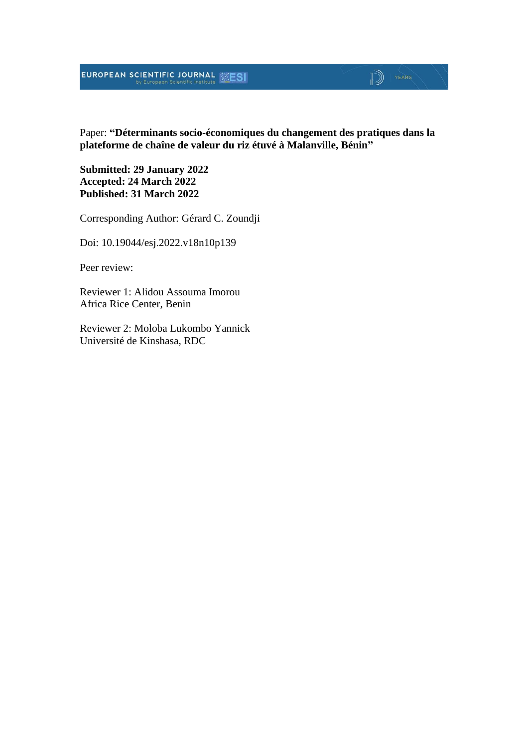## **EUROPEAN SCIENTIFIC JOURNAL EXESI**

## $\mathbb{D}$   $\mathbb{P}$   $\mathbb{P}$   $\mathbb{P}$   $\mathbb{P}$   $\mathbb{P}$   $\mathbb{P}$   $\mathbb{P}$   $\mathbb{P}$   $\mathbb{P}$   $\mathbb{P}$   $\mathbb{P}$   $\mathbb{P}$   $\mathbb{P}$   $\mathbb{P}$   $\mathbb{P}$   $\mathbb{P}$   $\mathbb{P}$   $\mathbb{P}$   $\mathbb{P}$   $\mathbb{P}$   $\mathbb{P}$   $\mathbb{P}$   $\mathbb{P}$   $\mathbb{$

Paper: **"Déterminants socio-économiques du changement des pratiques dans la plateforme de chaîne de valeur du riz étuvé à Malanville, Bénin"**

**Submitted: 29 January 2022 Accepted: 24 March 2022 Published: 31 March 2022**

Corresponding Author: Gérard C. Zoundji

Doi: 10.19044/esj.2022.v18n10p139

Peer review:

Reviewer 1: Alidou Assouma Imorou Africa Rice Center, Benin

Reviewer 2: Moloba Lukombo Yannick Université de Kinshasa, RDC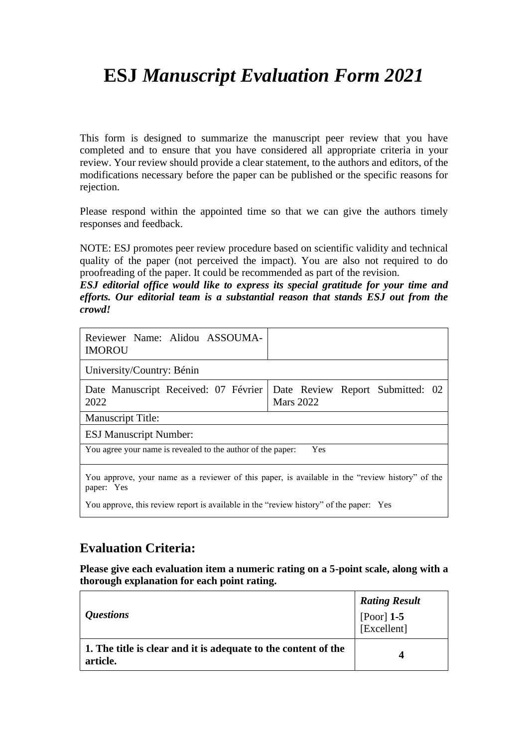# **ESJ** *Manuscript Evaluation Form 2021*

This form is designed to summarize the manuscript peer review that you have completed and to ensure that you have considered all appropriate criteria in your review. Your review should provide a clear statement, to the authors and editors, of the modifications necessary before the paper can be published or the specific reasons for rejection.

Please respond within the appointed time so that we can give the authors timely responses and feedback.

NOTE: ESJ promotes peer review procedure based on scientific validity and technical quality of the paper (not perceived the impact). You are also not required to do proofreading of the paper. It could be recommended as part of the revision.

*ESJ editorial office would like to express its special gratitude for your time and efforts. Our editorial team is a substantial reason that stands ESJ out from the crowd!*

| Reviewer Name: Alidou ASSOUMA-<br><b>IMOROU</b>                                                                                                                                                                                                                                 |                                                      |
|---------------------------------------------------------------------------------------------------------------------------------------------------------------------------------------------------------------------------------------------------------------------------------|------------------------------------------------------|
| University/Country: Bénin                                                                                                                                                                                                                                                       |                                                      |
| Date Manuscript Received: 07 Février<br>2022                                                                                                                                                                                                                                    | Date Review Report Submitted: 02<br><b>Mars 2022</b> |
| <b>Manuscript Title:</b>                                                                                                                                                                                                                                                        |                                                      |
| <b>ESJ Manuscript Number:</b>                                                                                                                                                                                                                                                   |                                                      |
| You agree your name is revealed to the author of the paper:                                                                                                                                                                                                                     | Yes                                                  |
| You approve, your name as a reviewer of this paper, is available in the "review history" of the<br>paper: Yes                                                                                                                                                                   |                                                      |
| $\mathbf{V}$ , and the state of $\mathbf{V}$ and $\mathbf{V}$ is the state of $\mathbf{V}$ and $\mathbf{V}$ is the state of $\mathbf{V}$ and $\mathbf{V}$ is the state of $\mathbf{V}$ and $\mathbf{V}$ is the state of $\mathbf{V}$ and $\mathbf{V}$ is the state of $\mathbf$ |                                                      |

You approve, this review report is available in the "review history" of the paper: Yes

### **Evaluation Criteria:**

**Please give each evaluation item a numeric rating on a 5-point scale, along with a thorough explanation for each point rating.**

| <i><b>Questions</b></i>                                                    | <b>Rating Result</b><br>[Poor] 1-5<br>[Excellent] |
|----------------------------------------------------------------------------|---------------------------------------------------|
| 1. The title is clear and it is adequate to the content of the<br>article. |                                                   |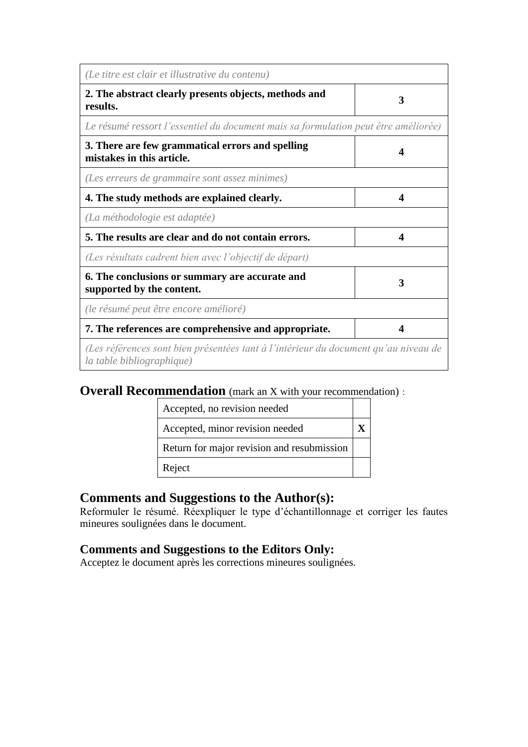| (Le titre est clair et illustrative du contenu)                                                                  |   |
|------------------------------------------------------------------------------------------------------------------|---|
| 2. The abstract clearly presents objects, methods and<br>results.                                                | 3 |
| Le résumé ressort l'essentiel du document mais sa formulation peut être améliorée)                               |   |
| 3. There are few grammatical errors and spelling<br>mistakes in this article.                                    | 4 |
| (Les erreurs de grammaire sont assez minimes)                                                                    |   |
| 4. The study methods are explained clearly.                                                                      | 4 |
| (La méthodologie est adaptée)                                                                                    |   |
| 5. The results are clear and do not contain errors.                                                              | 4 |
| (Les résultats cadrent bien avec l'objectif de départ)                                                           |   |
| 6. The conclusions or summary are accurate and<br>supported by the content.                                      | 3 |
| (le résumé peut être encore amélioré)                                                                            |   |
| 7. The references are comprehensive and appropriate.                                                             |   |
| (Les références sont bien présentées tant à l'intérieur du document qu'au niveau de<br>la table bibliographique) |   |

### **Overall Recommendation** (mark an X with your recommendation):

| Accepted, no revision needed               |  |
|--------------------------------------------|--|
| Accepted, minor revision needed            |  |
| Return for major revision and resubmission |  |
| Reject                                     |  |

## **Comments and Suggestions to the Author(s):**

Reformuler le résumé. Réexpliquer le type d'échantillonnage et corriger les fautes mineures soulignées dans le document.

### **Comments and Suggestions to the Editors Only:**

Acceptez le document après les corrections mineures soulignées.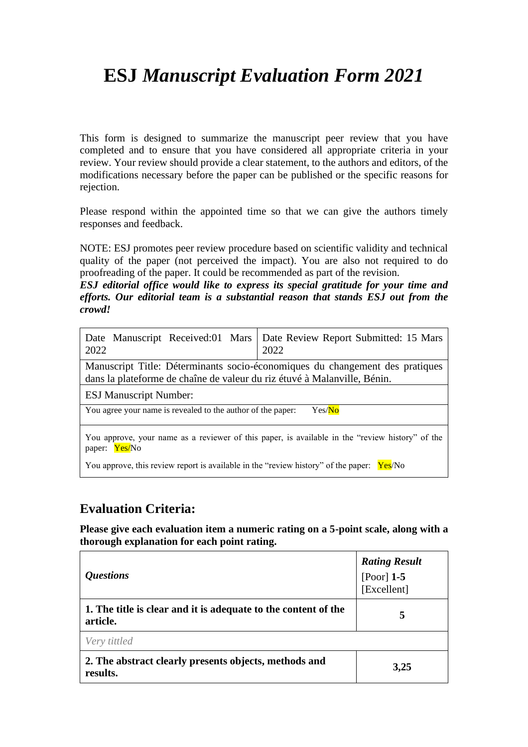# **ESJ** *Manuscript Evaluation Form 2021*

This form is designed to summarize the manuscript peer review that you have completed and to ensure that you have considered all appropriate criteria in your review. Your review should provide a clear statement, to the authors and editors, of the modifications necessary before the paper can be published or the specific reasons for rejection.

Please respond within the appointed time so that we can give the authors timely responses and feedback.

NOTE: ESJ promotes peer review procedure based on scientific validity and technical quality of the paper (not perceived the impact). You are also not required to do proofreading of the paper. It could be recommended as part of the revision.

*ESJ editorial office would like to express its special gratitude for your time and efforts. Our editorial team is a substantial reason that stands ESJ out from the crowd!*

| Date Manuscript Received:01 Mars<br>2022                                 | Date Review Report Submitted: 15 Mars<br>2022                                                                   |
|--------------------------------------------------------------------------|-----------------------------------------------------------------------------------------------------------------|
| dans la plateforme de chaîne de valeur du riz étuvé à Malanville, Bénin. | Manuscript Title: Déterminants socio-économiques du changement des pratiques                                    |
| <b>ESJ Manuscript Number:</b>                                            |                                                                                                                 |
| You agree your name is revealed to the author of the paper:              | Yes/No                                                                                                          |
| Yes/No<br>paper:                                                         | You approve, your name as a reviewer of this paper, is available in the "review history" of the                 |
| T                                                                        | and the state of the state of the state of the state of the state of the state of the state of the state of the |

You approve, this review report is available in the "review history" of the paper: Yes/No

### **Evaluation Criteria:**

**Please give each evaluation item a numeric rating on a 5-point scale, along with a thorough explanation for each point rating.**

| <i><b>Ouestions</b></i>                                                    | <b>Rating Result</b><br>[Poor] $1-5$<br>[Excellent] |
|----------------------------------------------------------------------------|-----------------------------------------------------|
| 1. The title is clear and it is adequate to the content of the<br>article. | 5                                                   |
| Very tittled                                                               |                                                     |
| 2. The abstract clearly presents objects, methods and<br>results.          | 3,25                                                |